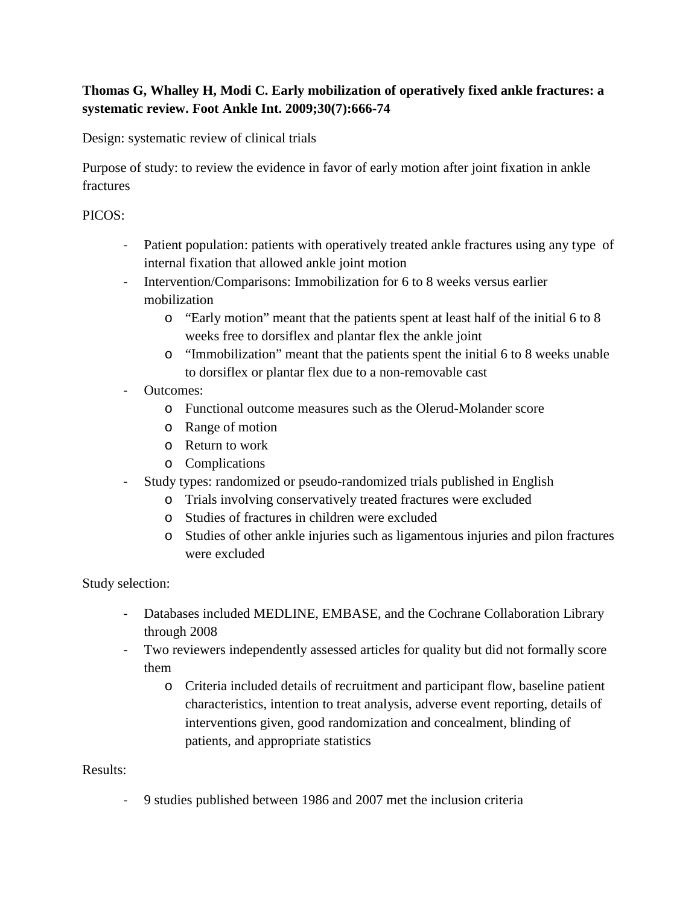## **Thomas G, Whalley H, Modi C. Early mobilization of operatively fixed ankle fractures: a systematic review. Foot Ankle Int. 2009;30(7):666-74**

Design: systematic review of clinical trials

Purpose of study: to review the evidence in favor of early motion after joint fixation in ankle fractures

## PICOS:

- Patient population: patients with operatively treated ankle fractures using any type of internal fixation that allowed ankle joint motion
- Intervention/Comparisons: Immobilization for 6 to 8 weeks versus earlier mobilization
	- o "Early motion" meant that the patients spent at least half of the initial 6 to 8 weeks free to dorsiflex and plantar flex the ankle joint
	- o "Immobilization" meant that the patients spent the initial 6 to 8 weeks unable to dorsiflex or plantar flex due to a non-removable cast
- Outcomes:
	- o Functional outcome measures such as the Olerud-Molander score
	- o Range of motion
	- o Return to work
	- o Complications
- Study types: randomized or pseudo-randomized trials published in English
	- o Trials involving conservatively treated fractures were excluded
	- o Studies of fractures in children were excluded
	- o Studies of other ankle injuries such as ligamentous injuries and pilon fractures were excluded

Study selection:

- Databases included MEDLINE, EMBASE, and the Cochrane Collaboration Library through 2008
- Two reviewers independently assessed articles for quality but did not formally score them
	- o Criteria included details of recruitment and participant flow, baseline patient characteristics, intention to treat analysis, adverse event reporting, details of interventions given, good randomization and concealment, blinding of patients, and appropriate statistics

Results:

- 9 studies published between 1986 and 2007 met the inclusion criteria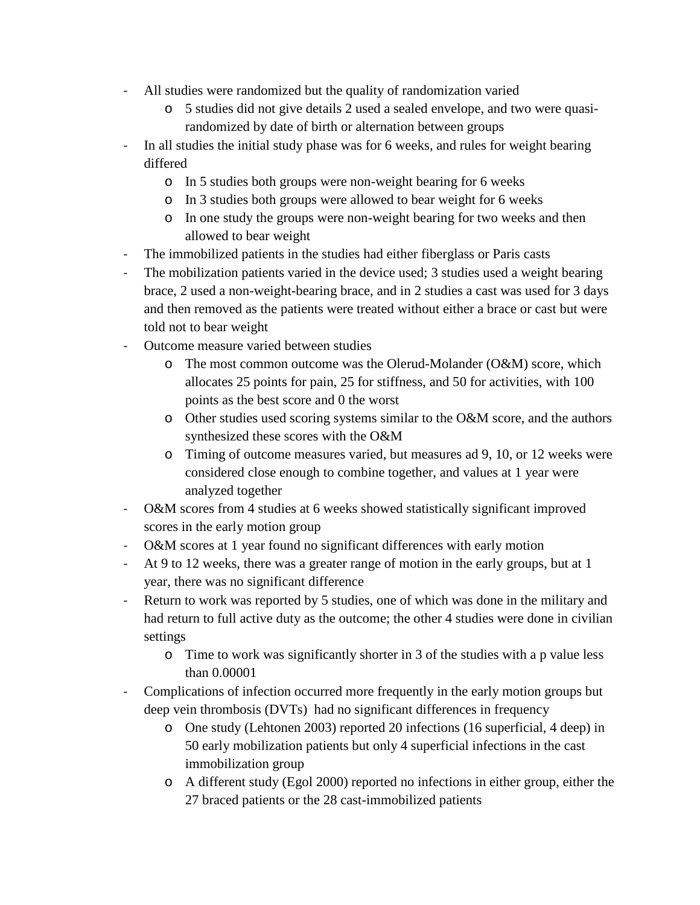- All studies were randomized but the quality of randomization varied
	- o 5 studies did not give details 2 used a sealed envelope, and two were quasirandomized by date of birth or alternation between groups
- In all studies the initial study phase was for 6 weeks, and rules for weight bearing differed
	- o In 5 studies both groups were non-weight bearing for 6 weeks
	- o In 3 studies both groups were allowed to bear weight for 6 weeks
	- o In one study the groups were non-weight bearing for two weeks and then allowed to bear weight
- The immobilized patients in the studies had either fiberglass or Paris casts
- The mobilization patients varied in the device used; 3 studies used a weight bearing brace, 2 used a non-weight-bearing brace, and in 2 studies a cast was used for 3 days and then removed as the patients were treated without either a brace or cast but were told not to bear weight
- Outcome measure varied between studies
	- o The most common outcome was the Olerud-Molander (O&M) score, which allocates 25 points for pain, 25 for stiffness, and 50 for activities, with 100 points as the best score and 0 the worst
	- o Other studies used scoring systems similar to the O&M score, and the authors synthesized these scores with the O&M
	- o Timing of outcome measures varied, but measures ad 9, 10, or 12 weeks were considered close enough to combine together, and values at 1 year were analyzed together
- O&M scores from 4 studies at 6 weeks showed statistically significant improved scores in the early motion group
- O&M scores at 1 year found no significant differences with early motion
- At 9 to 12 weeks, there was a greater range of motion in the early groups, but at 1 year, there was no significant difference
- Return to work was reported by 5 studies, one of which was done in the military and had return to full active duty as the outcome; the other 4 studies were done in civilian settings
	- o Time to work was significantly shorter in 3 of the studies with a p value less than 0.00001
- Complications of infection occurred more frequently in the early motion groups but deep vein thrombosis (DVTs) had no significant differences in frequency
	- o One study (Lehtonen 2003) reported 20 infections (16 superficial, 4 deep) in 50 early mobilization patients but only 4 superficial infections in the cast immobilization group
	- o A different study (Egol 2000) reported no infections in either group, either the 27 braced patients or the 28 cast-immobilized patients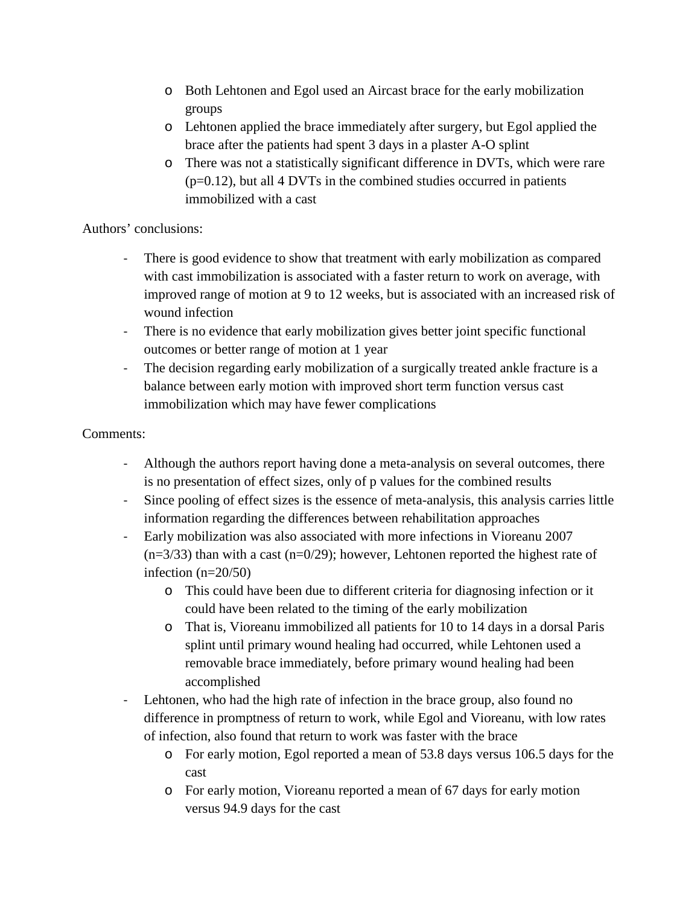- o Both Lehtonen and Egol used an Aircast brace for the early mobilization groups
- o Lehtonen applied the brace immediately after surgery, but Egol applied the brace after the patients had spent 3 days in a plaster A-O splint
- o There was not a statistically significant difference in DVTs, which were rare  $(p=0.12)$ , but all 4 DVTs in the combined studies occurred in patients immobilized with a cast

Authors' conclusions:

- There is good evidence to show that treatment with early mobilization as compared with cast immobilization is associated with a faster return to work on average, with improved range of motion at 9 to 12 weeks, but is associated with an increased risk of wound infection
- There is no evidence that early mobilization gives better joint specific functional outcomes or better range of motion at 1 year
- The decision regarding early mobilization of a surgically treated ankle fracture is a balance between early motion with improved short term function versus cast immobilization which may have fewer complications

## Comments:

- Although the authors report having done a meta-analysis on several outcomes, there is no presentation of effect sizes, only of p values for the combined results
- Since pooling of effect sizes is the essence of meta-analysis, this analysis carries little information regarding the differences between rehabilitation approaches
- Early mobilization was also associated with more infections in Vioreanu 2007  $(n=3/33)$  than with a cast  $(n=0/29)$ ; however, Lehtonen reported the highest rate of infection (n=20/50)
	- o This could have been due to different criteria for diagnosing infection or it could have been related to the timing of the early mobilization
	- o That is, Vioreanu immobilized all patients for 10 to 14 days in a dorsal Paris splint until primary wound healing had occurred, while Lehtonen used a removable brace immediately, before primary wound healing had been accomplished
- Lehtonen, who had the high rate of infection in the brace group, also found no difference in promptness of return to work, while Egol and Vioreanu, with low rates of infection, also found that return to work was faster with the brace
	- o For early motion, Egol reported a mean of 53.8 days versus 106.5 days for the cast
	- o For early motion, Vioreanu reported a mean of 67 days for early motion versus 94.9 days for the cast